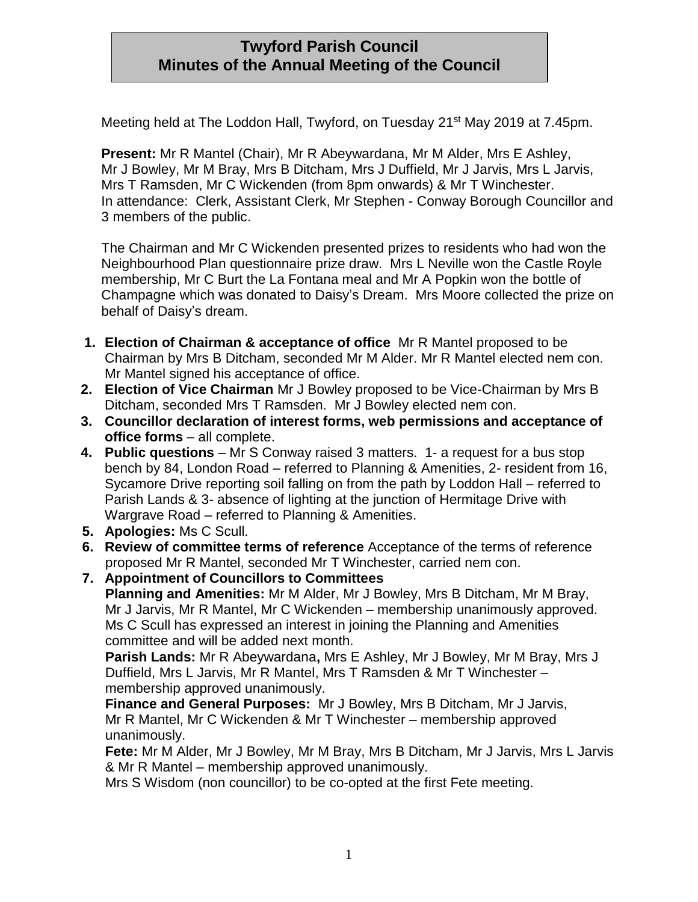# **Twyford Parish Council Minutes of the Annual Meeting of the Council**

Meeting held at The Loddon Hall, Twyford, on Tuesday 21<sup>st</sup> May 2019 at 7.45pm.

**Present:** Mr R Mantel (Chair), Mr R Abeywardana, Mr M Alder, Mrs E Ashley, Mr J Bowley, Mr M Bray, Mrs B Ditcham, Mrs J Duffield, Mr J Jarvis, Mrs L Jarvis, Mrs T Ramsden, Mr C Wickenden (from 8pm onwards) & Mr T Winchester. In attendance: Clerk, Assistant Clerk, Mr Stephen - Conway Borough Councillor and 3 members of the public.

The Chairman and Mr C Wickenden presented prizes to residents who had won the Neighbourhood Plan questionnaire prize draw. Mrs L Neville won the Castle Royle membership, Mr C Burt the La Fontana meal and Mr A Popkin won the bottle of Champagne which was donated to Daisy's Dream. Mrs Moore collected the prize on behalf of Daisy's dream.

- **1. Election of Chairman & acceptance of office** Mr R Mantel proposed to be Chairman by Mrs B Ditcham, seconded Mr M Alder. Mr R Mantel elected nem con. Mr Mantel signed his acceptance of office.
- **2. Election of Vice Chairman** Mr J Bowley proposed to be Vice-Chairman by Mrs B Ditcham, seconded Mrs T Ramsden. Mr J Bowley elected nem con.
- **3. Councillor declaration of interest forms, web permissions and acceptance of office forms** – all complete.
- **4. Public questions** Mr S Conway raised 3 matters. 1- a request for a bus stop bench by 84, London Road – referred to Planning & Amenities, 2- resident from 16, Sycamore Drive reporting soil falling on from the path by Loddon Hall – referred to Parish Lands & 3- absence of lighting at the junction of Hermitage Drive with Wargrave Road – referred to Planning & Amenities.
- **5. Apologies:** Ms C Scull.
- **6. Review of committee terms of reference** Acceptance of the terms of reference proposed Mr R Mantel, seconded Mr T Winchester, carried nem con.
- **7. Appointment of Councillors to Committees Planning and Amenities:** Mr M Alder, Mr J Bowley, Mrs B Ditcham, Mr M Bray, Mr J Jarvis, Mr R Mantel, Mr C Wickenden – membership unanimously approved. Ms C Scull has expressed an interest in joining the Planning and Amenities committee and will be added next month.

**Parish Lands:** Mr R Abeywardana**,** Mrs E Ashley, Mr J Bowley, Mr M Bray, Mrs J Duffield, Mrs L Jarvis, Mr R Mantel, Mrs T Ramsden & Mr T Winchester – membership approved unanimously.

**Finance and General Purposes:** Mr J Bowley, Mrs B Ditcham, Mr J Jarvis, Mr R Mantel, Mr C Wickenden & Mr T Winchester – membership approved unanimously.

**Fete:** Mr M Alder, Mr J Bowley, Mr M Bray, Mrs B Ditcham, Mr J Jarvis, Mrs L Jarvis & Mr R Mantel – membership approved unanimously.

Mrs S Wisdom (non councillor) to be co-opted at the first Fete meeting.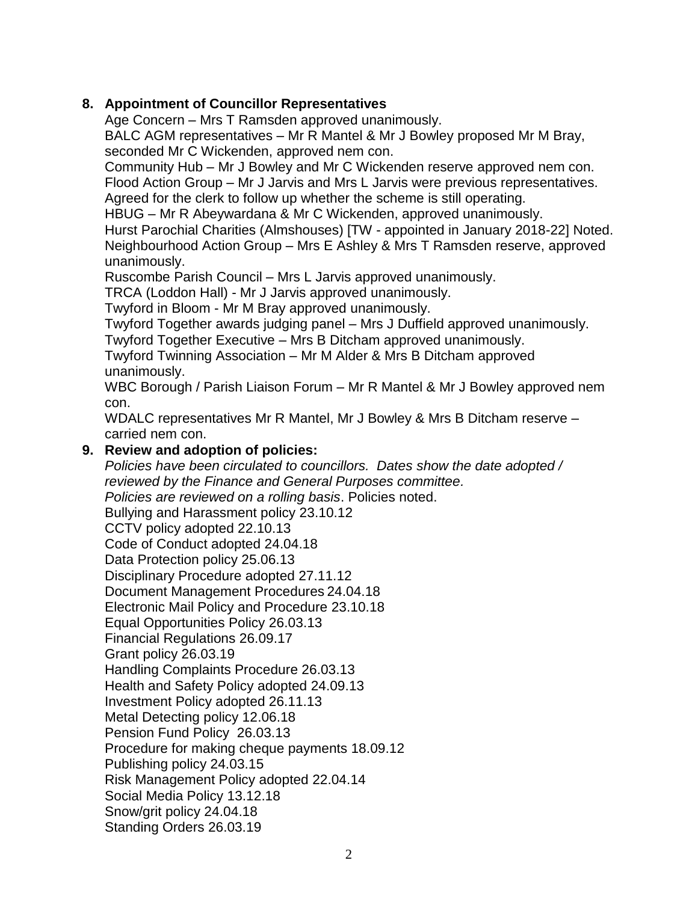### **8. Appointment of Councillor Representatives**

Age Concern – Mrs T Ramsden approved unanimously.

BALC AGM representatives – Mr R Mantel & Mr J Bowley proposed Mr M Bray, seconded Mr C Wickenden, approved nem con.

Community Hub – Mr J Bowley and Mr C Wickenden reserve approved nem con. Flood Action Group – Mr J Jarvis and Mrs L Jarvis were previous representatives. Agreed for the clerk to follow up whether the scheme is still operating.

HBUG – Mr R Abeywardana & Mr C Wickenden, approved unanimously.

Hurst Parochial Charities (Almshouses) [TW - appointed in January 2018-22] Noted. Neighbourhood Action Group – Mrs E Ashley & Mrs T Ramsden reserve, approved unanimously.

Ruscombe Parish Council – Mrs L Jarvis approved unanimously.

TRCA (Loddon Hall) - Mr J Jarvis approved unanimously.

Twyford in Bloom - Mr M Bray approved unanimously.

Twyford Together awards judging panel – Mrs J Duffield approved unanimously.

Twyford Together Executive – Mrs B Ditcham approved unanimously.

Twyford Twinning Association – Mr M Alder & Mrs B Ditcham approved unanimously.

WBC Borough / Parish Liaison Forum – Mr R Mantel & Mr J Bowley approved nem con.

WDALC representatives Mr R Mantel, Mr J Bowley & Mrs B Ditcham reserve – carried nem con.

### **9. Review and adoption of policies:**

*Policies have been circulated to councillors. Dates show the date adopted / reviewed by the Finance and General Purposes committee. Policies are reviewed on a rolling basis*. Policies noted. Bullying and Harassment policy 23.10.12 CCTV policy adopted 22.10.13 Code of Conduct adopted 24.04.18 Data Protection policy 25.06.13 Disciplinary Procedure adopted 27.11.12 Document Management Procedures 24.04.18 Electronic Mail Policy and Procedure 23.10.18 Equal Opportunities Policy 26.03.13 Financial Regulations 26.09.17 Grant policy 26.03.19 Handling Complaints Procedure 26.03.13 Health and Safety Policy adopted 24.09.13 Investment Policy adopted 26.11.13 Metal Detecting policy 12.06.18 Pension Fund Policy 26.03.13 Procedure for making cheque payments 18.09.12 Publishing policy 24.03.15 Risk Management Policy adopted 22.04.14 Social Media Policy 13.12.18 Snow/grit policy 24.04.18 Standing Orders 26.03.19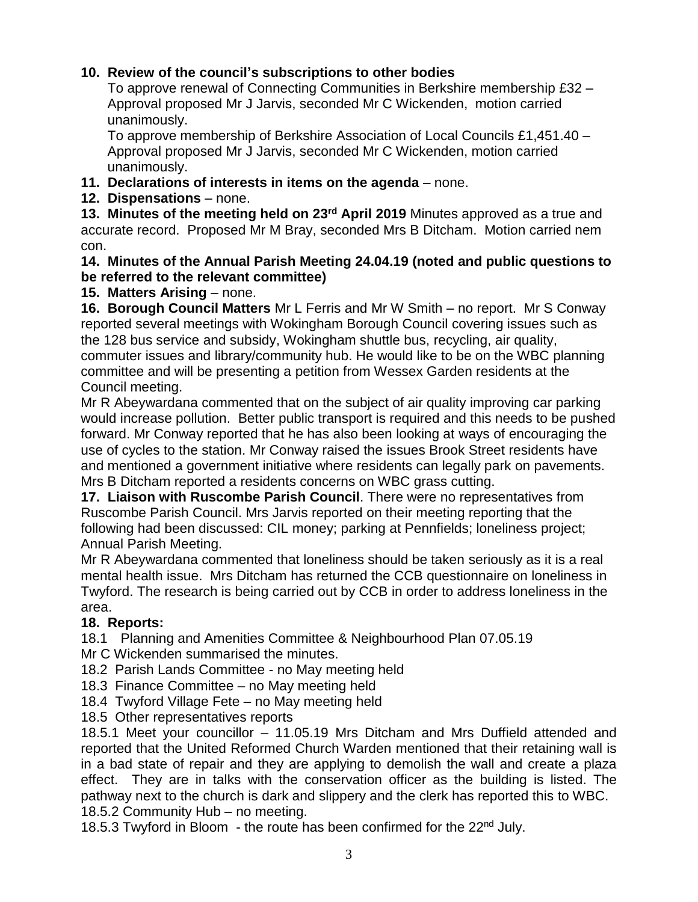### **10. Review of the council's subscriptions to other bodies**

 To approve renewal of Connecting Communities in Berkshire membership £32 – Approval proposed Mr J Jarvis, seconded Mr C Wickenden, motion carried unanimously.

 To approve membership of Berkshire Association of Local Councils £1,451.40 – Approval proposed Mr J Jarvis, seconded Mr C Wickenden, motion carried unanimously.

- **11. Declarations of interests in items on the agenda** none.
- **12. Dispensations** none.

**13. Minutes of the meeting held on 23rd April 2019** Minutes approved as a true and accurate record. Proposed Mr M Bray, seconded Mrs B Ditcham. Motion carried nem con.

#### **14. Minutes of the Annual Parish Meeting 24.04.19 (noted and public questions to be referred to the relevant committee)**

## **15. Matters Arising** – none.

**16. Borough Council Matters** Mr L Ferris and Mr W Smith – no report. Mr S Conway reported several meetings with Wokingham Borough Council covering issues such as the 128 bus service and subsidy, Wokingham shuttle bus, recycling, air quality, commuter issues and library/community hub. He would like to be on the WBC planning committee and will be presenting a petition from Wessex Garden residents at the Council meeting.

Mr R Abeywardana commented that on the subject of air quality improving car parking would increase pollution. Better public transport is required and this needs to be pushed forward. Mr Conway reported that he has also been looking at ways of encouraging the use of cycles to the station. Mr Conway raised the issues Brook Street residents have and mentioned a government initiative where residents can legally park on pavements. Mrs B Ditcham reported a residents concerns on WBC grass cutting.

**17. Liaison with Ruscombe Parish Council**. There were no representatives from Ruscombe Parish Council. Mrs Jarvis reported on their meeting reporting that the following had been discussed: CIL money; parking at Pennfields; loneliness project; Annual Parish Meeting.

Mr R Abeywardana commented that loneliness should be taken seriously as it is a real mental health issue. Mrs Ditcham has returned the CCB questionnaire on loneliness in Twyford. The research is being carried out by CCB in order to address loneliness in the area.

## **18. Reports:**

18.1Planning and Amenities Committee & Neighbourhood Plan 07.05.19

- Mr C Wickenden summarised the minutes.
- 18.2 Parish Lands Committee no May meeting held
- 18.3 Finance Committee no May meeting held
- 18.4 Twyford Village Fete no May meeting held
- 18.5 Other representatives reports

18.5.1 Meet your councillor – 11.05.19 Mrs Ditcham and Mrs Duffield attended and reported that the United Reformed Church Warden mentioned that their retaining wall is in a bad state of repair and they are applying to demolish the wall and create a plaza effect. They are in talks with the conservation officer as the building is listed. The pathway next to the church is dark and slippery and the clerk has reported this to WBC. 18.5.2 Community Hub – no meeting.

18.5.3 Twyford in Bloom - the route has been confirmed for the  $22<sup>nd</sup>$  July.